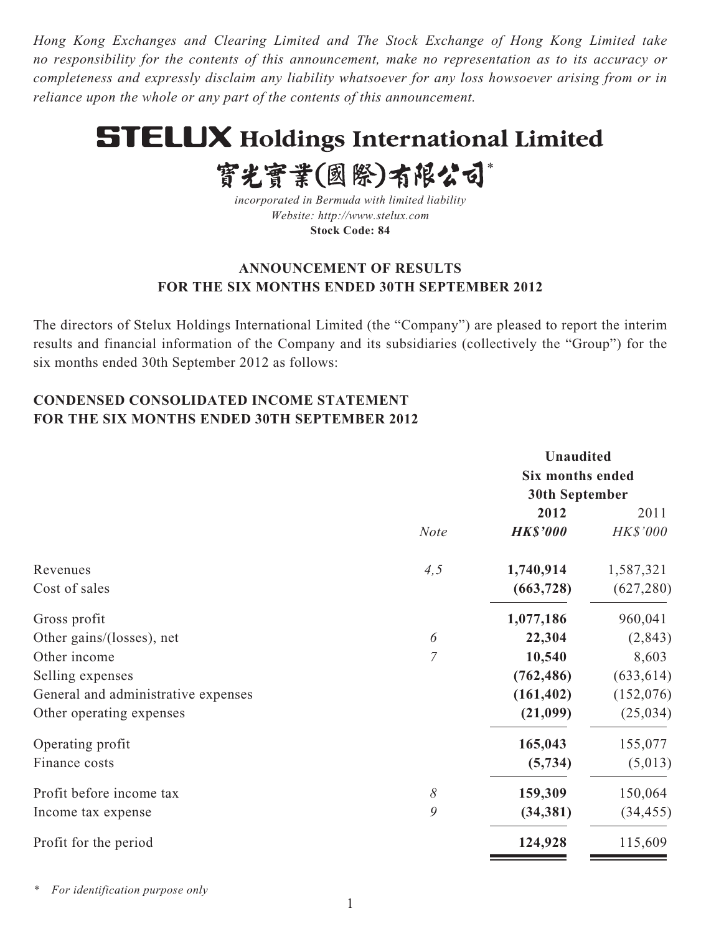*Hong Kong Exchanges and Clearing Limited and The Stock Exchange of Hong Kong Limited take no responsibility for the contents of this announcement, make no representation as to its accuracy or completeness and expressly disclaim any liability whatsoever for any loss howsoever arising from or in reliance upon the whole or any part of the contents of this announcement.*

# **STELUX Holdings International Limited**

實光實業(國際)有限公司\*

*incorporated in Bermuda with limited liability Website: http://www.stelux.com* **Stock Code: 84**

## **ANNOUNCEMENT OF RESULTS FOR THE SIX MONTHS ENDED 30TH SEPTEMBER 2012**

The directors of Stelux Holdings International Limited (the "Company") are pleased to report the interim results and financial information of the Company and its subsidiaries (collectively the "Group") for the six months ended 30th September 2012 as follows:

# **CONDENSED CONSOLIDATED INCOME STATEMENT FOR THE SIX MONTHS ENDED 30TH SEPTEMBER 2012**

|                                     |                | <b>Unaudited</b>      |                 |  |
|-------------------------------------|----------------|-----------------------|-----------------|--|
|                                     |                | Six months ended      |                 |  |
|                                     |                | <b>30th September</b> |                 |  |
|                                     |                | 2012                  | 2011            |  |
|                                     | <b>Note</b>    | <b>HK\$'000</b>       | <b>HK\$'000</b> |  |
| Revenues                            | 4,5            | 1,740,914             | 1,587,321       |  |
| Cost of sales                       |                | (663, 728)            | (627, 280)      |  |
| Gross profit                        |                | 1,077,186             | 960,041         |  |
| Other gains/(losses), net           | 6              | 22,304                | (2, 843)        |  |
| Other income                        | $\overline{7}$ | 10,540                | 8,603           |  |
| Selling expenses                    |                | (762, 486)            | (633, 614)      |  |
| General and administrative expenses |                | (161, 402)            | (152,076)       |  |
| Other operating expenses            |                | (21,099)              | (25, 034)       |  |
| Operating profit                    |                | 165,043               | 155,077         |  |
| Finance costs                       |                | (5, 734)              | (5,013)         |  |
| Profit before income tax            | 8              | 159,309               | 150,064         |  |
| Income tax expense                  | 9              | (34, 381)             | (34, 455)       |  |
| Profit for the period               |                | 124,928               | 115,609         |  |
|                                     |                |                       |                 |  |

*\* For identification purpose only*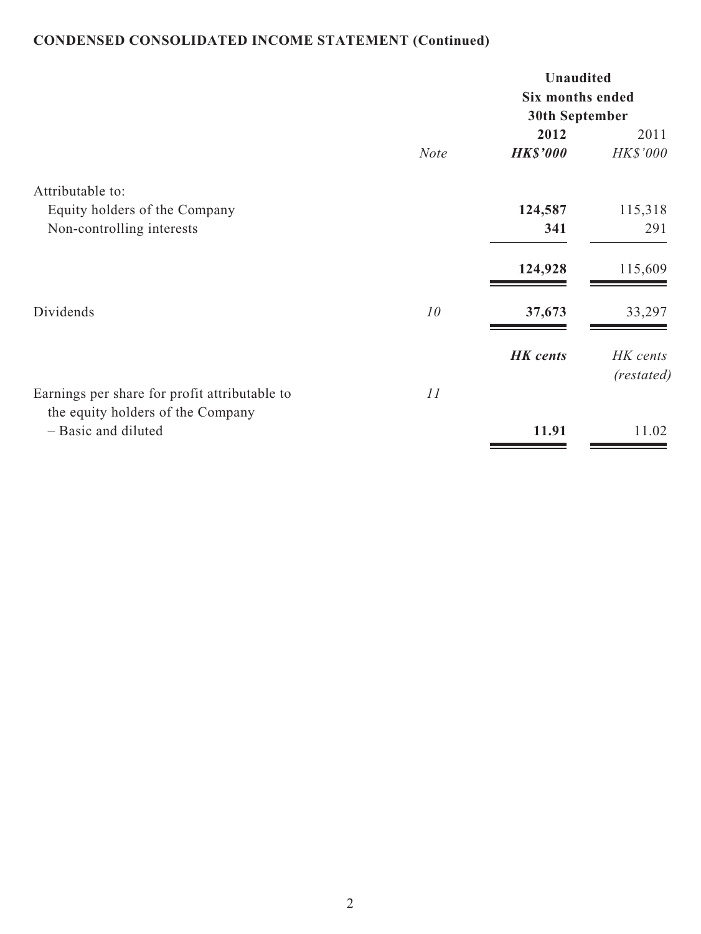# **CONDENSED CONSOLIDATED INCOME STATEMENT (Continued)**

|                                                                                                           |             | <b>Unaudited</b><br>Six months ended<br>30th September |                        |  |
|-----------------------------------------------------------------------------------------------------------|-------------|--------------------------------------------------------|------------------------|--|
|                                                                                                           | <b>Note</b> | 2012<br><b>HK\$'000</b>                                | 2011<br>HK\$'000       |  |
| Attributable to:<br>Equity holders of the Company<br>Non-controlling interests                            |             | 124,587<br>341                                         | 115,318<br>291         |  |
|                                                                                                           |             | 124,928                                                | 115,609                |  |
| Dividends                                                                                                 | 10          | 37,673                                                 | 33,297                 |  |
|                                                                                                           |             | <b>HK</b> cents                                        | HK cents<br>(restated) |  |
| Earnings per share for profit attributable to<br>the equity holders of the Company<br>- Basic and diluted | 11          | 11.91                                                  | 11.02                  |  |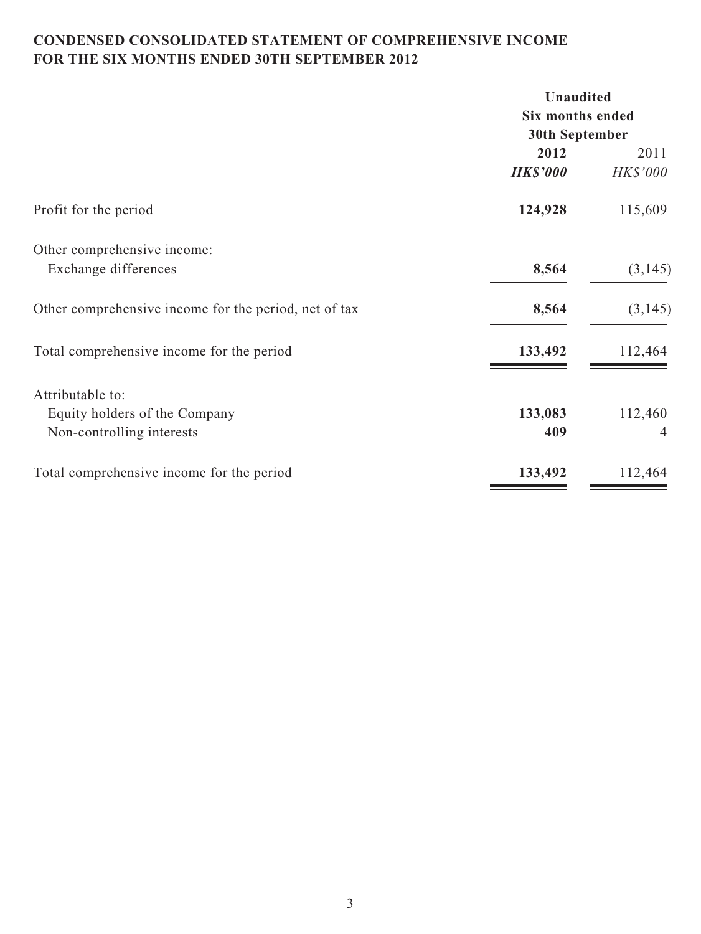# **CONDENSED CONSOLIDATED STATEMENT OF COMPREHENSIVE INCOME FOR THE SIX MONTHS ENDED 30TH SEPTEMBER 2012**

|                                                       | <b>Unaudited</b>        |                |  |
|-------------------------------------------------------|-------------------------|----------------|--|
|                                                       | <b>Six months ended</b> |                |  |
|                                                       | 30th September          |                |  |
|                                                       | 2012                    | 2011           |  |
|                                                       | <b>HK\$'000</b>         | HK\$'000       |  |
| Profit for the period                                 | 124,928                 | 115,609        |  |
| Other comprehensive income:                           |                         |                |  |
| Exchange differences                                  | 8,564                   | (3,145)        |  |
| Other comprehensive income for the period, net of tax | 8,564                   | (3, 145)       |  |
| Total comprehensive income for the period             | 133,492                 | 112,464        |  |
| Attributable to:                                      |                         |                |  |
| Equity holders of the Company                         | 133,083                 | 112,460        |  |
| Non-controlling interests                             | 409                     | $\overline{4}$ |  |
| Total comprehensive income for the period             | 133,492                 | 112,464        |  |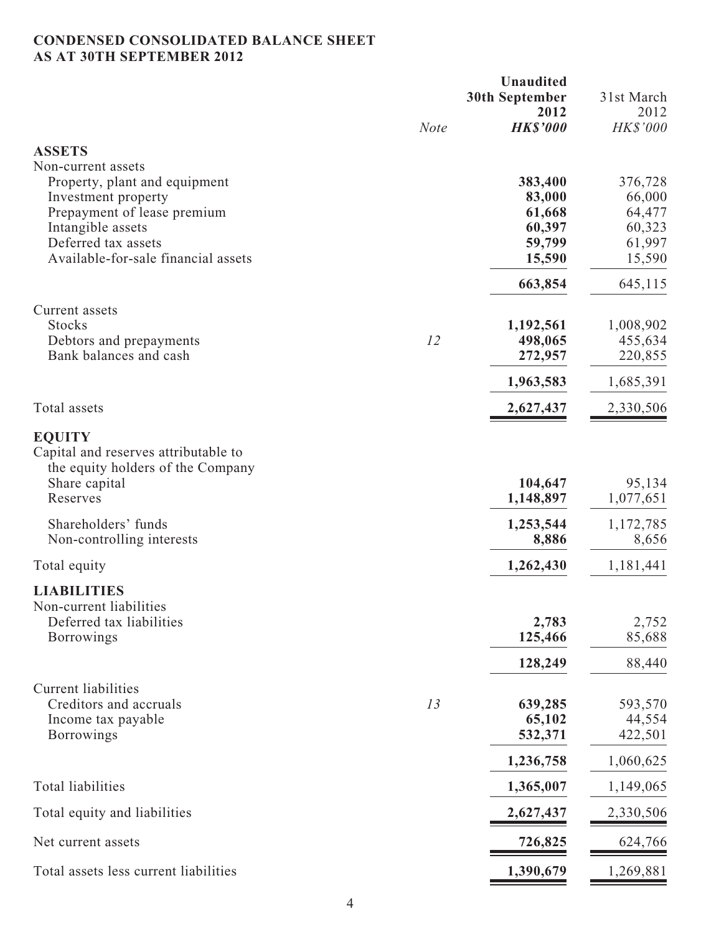# **CONDENSED CONSOLIDATED BALANCE SHEET AS AT 30TH SEPTEMBER 2012**

|                                                                                                                                                                                              |             | <b>Unaudited</b><br>30th September                        | 31st March                                                |
|----------------------------------------------------------------------------------------------------------------------------------------------------------------------------------------------|-------------|-----------------------------------------------------------|-----------------------------------------------------------|
|                                                                                                                                                                                              | <b>Note</b> | 2012<br><b>HK\$'000</b>                                   | 2012<br>HK\$'000                                          |
| <b>ASSETS</b>                                                                                                                                                                                |             |                                                           |                                                           |
| Non-current assets<br>Property, plant and equipment<br>Investment property<br>Prepayment of lease premium<br>Intangible assets<br>Deferred tax assets<br>Available-for-sale financial assets |             | 383,400<br>83,000<br>61,668<br>60,397<br>59,799<br>15,590 | 376,728<br>66,000<br>64,477<br>60,323<br>61,997<br>15,590 |
|                                                                                                                                                                                              |             | 663,854                                                   | 645,115                                                   |
| Current assets<br><b>Stocks</b><br>Debtors and prepayments<br>Bank balances and cash                                                                                                         | 12          | 1,192,561<br>498,065<br>272,957                           | 1,008,902<br>455,634<br>220,855                           |
|                                                                                                                                                                                              |             | 1,963,583                                                 | 1,685,391                                                 |
| Total assets                                                                                                                                                                                 |             | 2,627,437                                                 | 2,330,506                                                 |
| <b>EQUITY</b><br>Capital and reserves attributable to<br>the equity holders of the Company<br>Share capital<br>Reserves<br>Shareholders' funds<br>Non-controlling interests                  |             | 104,647<br>1,148,897<br>1,253,544<br>8,886                | 95,134<br>1,077,651<br>1,172,785<br>8,656                 |
| Total equity                                                                                                                                                                                 |             | 1,262,430                                                 | 1,181,441                                                 |
| <b>LIABILITIES</b><br>Non-current liabilities<br>Deferred tax liabilities<br><b>Borrowings</b>                                                                                               |             | 2,783<br>125,466                                          | 2,752<br>85,688                                           |
|                                                                                                                                                                                              |             | 128,249                                                   | 88,440                                                    |
| <b>Current liabilities</b><br>Creditors and accruals<br>Income tax payable<br><b>Borrowings</b>                                                                                              | 13          | 639,285<br>65,102<br>532,371                              | 593,570<br>44,554<br>422,501                              |
|                                                                                                                                                                                              |             | 1,236,758                                                 | 1,060,625                                                 |
| <b>Total liabilities</b>                                                                                                                                                                     |             | 1,365,007                                                 | 1,149,065                                                 |
| Total equity and liabilities                                                                                                                                                                 |             | 2,627,437                                                 | 2,330,506                                                 |
| Net current assets                                                                                                                                                                           |             | 726,825                                                   | 624,766                                                   |
| Total assets less current liabilities                                                                                                                                                        |             | 1,390,679                                                 | 1,269,881                                                 |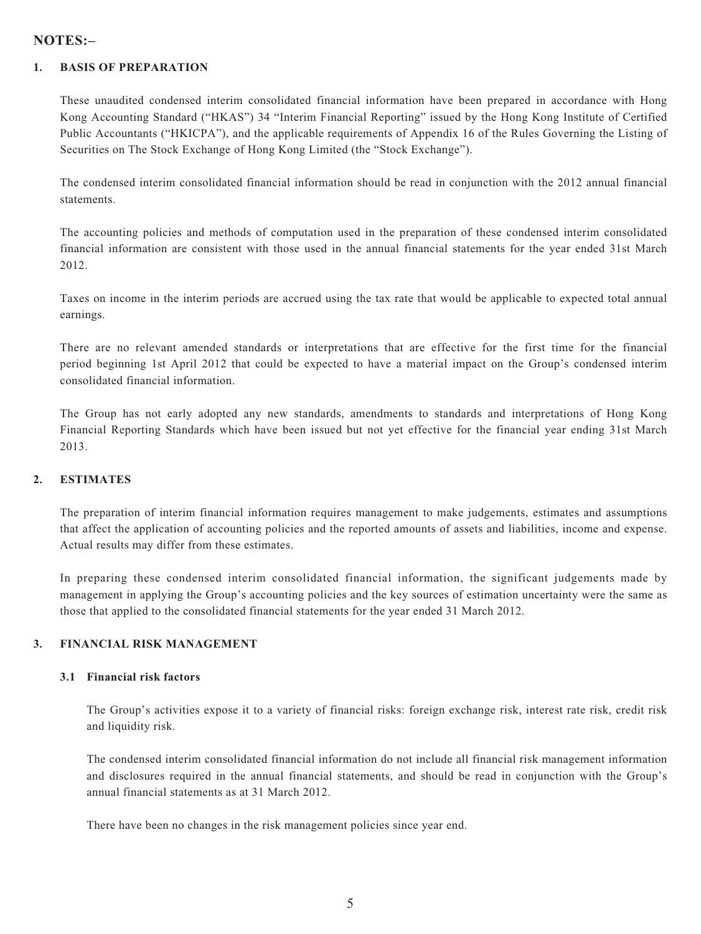## **NOTES:–**

#### **1. BASIS OF PREPARATION**

These unaudited condensed interim consolidated financial information have been prepared in accordance with Hong Kong Accounting Standard ("HKAS") 34 "Interim Financial Reporting" issued by the Hong Kong Institute of Certified Public Accountants ("HKICPA"), and the applicable requirements of Appendix 16 of the Rules Governing the Listing of Securities on The Stock Exchange of Hong Kong Limited (the "Stock Exchange").

The condensed interim consolidated financial information should be read in conjunction with the 2012 annual financial statements.

The accounting policies and methods of computation used in the preparation of these condensed interim consolidated financial information are consistent with those used in the annual financial statements for the year ended 31st March 2012.

Taxes on income in the interim periods are accrued using the tax rate that would be applicable to expected total annual earnings.

There are no relevant amended standards or interpretations that are effective for the first time for the financial period beginning 1st April 2012 that could be expected to have a material impact on the Group's condensed interim consolidated financial information.

The Group has not early adopted any new standards, amendments to standards and interpretations of Hong Kong Financial Reporting Standards which have been issued but not yet effective for the financial year ending 31st March 2013.

#### **2. ESTIMATES**

The preparation of interim financial information requires management to make judgements, estimates and assumptions that affect the application of accounting policies and the reported amounts of assets and liabilities, income and expense. Actual results may differ from these estimates.

In preparing these condensed interim consolidated financial information, the significant judgements made by management in applying the Group's accounting policies and the key sources of estimation uncertainty were the same as those that applied to the consolidated financial statements for the year ended 31 March 2012.

#### **3. FINANCIAL RISK MANAGEMENT**

#### **3.1 Financial risk factors**

The Group's activities expose it to a variety of financial risks: foreign exchange risk, interest rate risk, credit risk and liquidity risk.

The condensed interim consolidated financial information do not include all financial risk management information and disclosures required in the annual financial statements, and should be read in conjunction with the Group's annual financial statements as at 31 March 2012.

There have been no changes in the risk management policies since year end.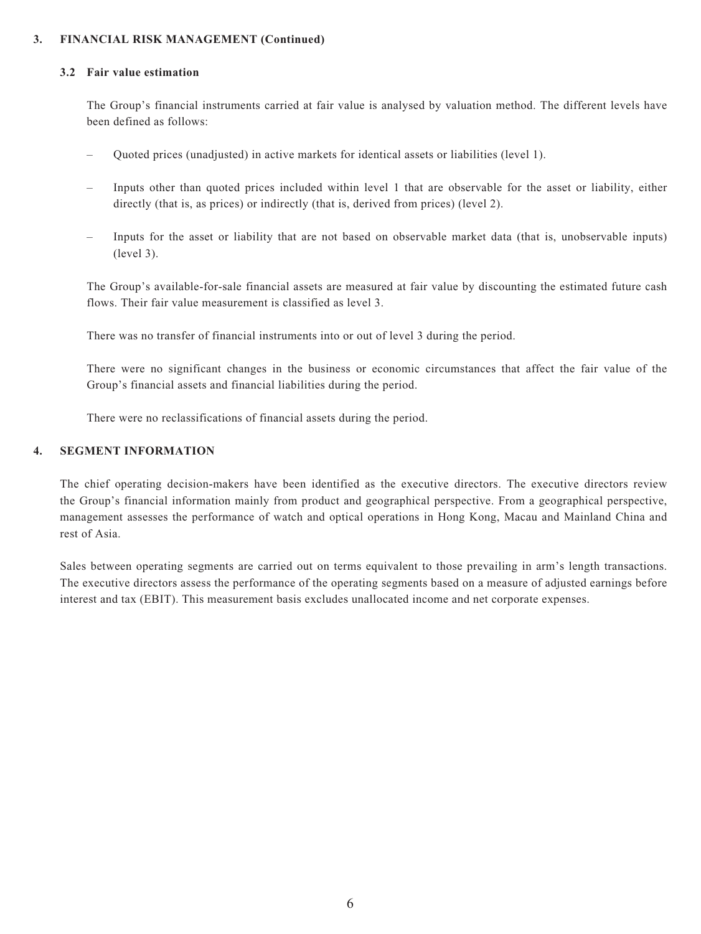#### **3. FINANCIAL RISK MANAGEMENT (Continued)**

#### **3.2 Fair value estimation**

The Group's financial instruments carried at fair value is analysed by valuation method. The different levels have been defined as follows:

- Quoted prices (unadjusted) in active markets for identical assets or liabilities (level 1).
- Inputs other than quoted prices included within level 1 that are observable for the asset or liability, either directly (that is, as prices) or indirectly (that is, derived from prices) (level 2).
- Inputs for the asset or liability that are not based on observable market data (that is, unobservable inputs) (level 3).

The Group's available-for-sale financial assets are measured at fair value by discounting the estimated future cash flows. Their fair value measurement is classified as level 3.

There was no transfer of financial instruments into or out of level 3 during the period.

There were no significant changes in the business or economic circumstances that affect the fair value of the Group's financial assets and financial liabilities during the period.

There were no reclassifications of financial assets during the period.

#### **4. SEGMENT INFORMATION**

The chief operating decision-makers have been identified as the executive directors. The executive directors review the Group's financial information mainly from product and geographical perspective. From a geographical perspective, management assesses the performance of watch and optical operations in Hong Kong, Macau and Mainland China and rest of Asia.

Sales between operating segments are carried out on terms equivalent to those prevailing in arm's length transactions. The executive directors assess the performance of the operating segments based on a measure of adjusted earnings before interest and tax (EBIT). This measurement basis excludes unallocated income and net corporate expenses.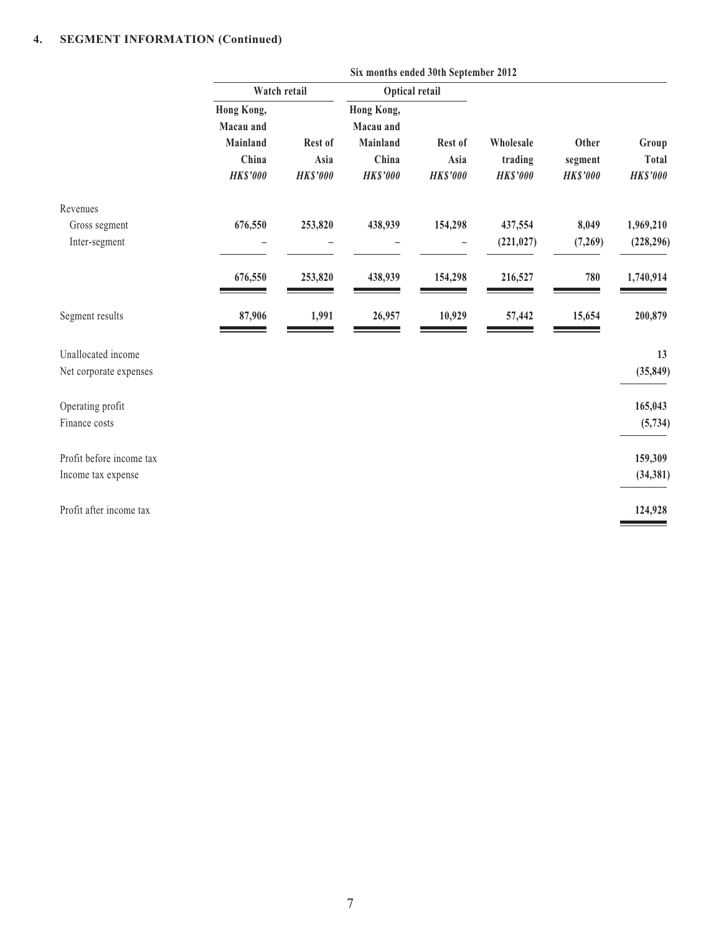### **4. SEGMENT INFORMATION (Continued)**

|                                                | Six months ended 30th September 2012                            |                                    |                                                                 |                                    |                                         |                                     |                                          |  |
|------------------------------------------------|-----------------------------------------------------------------|------------------------------------|-----------------------------------------------------------------|------------------------------------|-----------------------------------------|-------------------------------------|------------------------------------------|--|
|                                                |                                                                 | Watch retail                       | Optical retail                                                  |                                    |                                         |                                     |                                          |  |
|                                                | Hong Kong,<br>Macau and<br>Mainland<br>China<br><b>HK\$'000</b> | Rest of<br>Asia<br><b>HK\$'000</b> | Hong Kong,<br>Macau and<br>Mainland<br>China<br><b>HK\$'000</b> | Rest of<br>Asia<br><b>HK\$'000</b> | Wholesale<br>trading<br><b>HK\$'000</b> | Other<br>segment<br><b>HK\$'000</b> | Group<br><b>Total</b><br><b>HK\$'000</b> |  |
| Revenues                                       |                                                                 |                                    |                                                                 |                                    |                                         |                                     |                                          |  |
| Gross segment<br>Inter-segment                 | 676,550                                                         | 253,820                            | 438,939                                                         | 154,298                            | 437,554<br>(221, 027)                   | 8,049<br>(7,269)                    | 1,969,210<br>(228, 296)                  |  |
|                                                | 676,550                                                         | 253,820                            | 438,939                                                         | 154,298                            | 216,527                                 | 780                                 | 1,740,914                                |  |
| Segment results                                | 87,906                                                          | 1,991                              | 26,957                                                          | 10,929                             | 57,442                                  | 15,654                              | 200,879                                  |  |
| Unallocated income<br>Net corporate expenses   |                                                                 |                                    |                                                                 |                                    |                                         |                                     | 13<br>(35, 849)                          |  |
| Operating profit<br>Finance costs              |                                                                 |                                    |                                                                 |                                    |                                         |                                     | 165,043<br>(5, 734)                      |  |
| Profit before income tax<br>Income tax expense |                                                                 |                                    |                                                                 |                                    |                                         |                                     | 159,309<br>(34, 381)                     |  |
| Profit after income tax                        |                                                                 |                                    |                                                                 |                                    |                                         |                                     | 124,928                                  |  |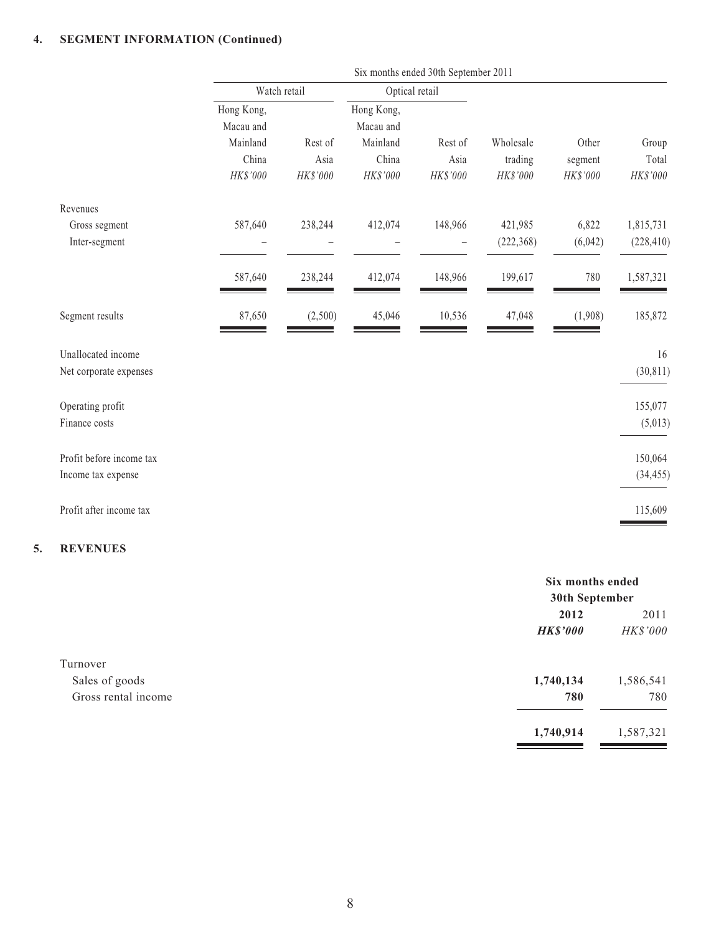#### **4. SEGMENT INFORMATION (Continued)**

|                                                | Six months ended 30th September 2011         |                 |                                              |                 |                       |                  |                         |  |
|------------------------------------------------|----------------------------------------------|-----------------|----------------------------------------------|-----------------|-----------------------|------------------|-------------------------|--|
|                                                | Watch retail                                 |                 | Optical retail                               |                 |                       |                  |                         |  |
|                                                | Hong Kong,<br>Macau and<br>Mainland<br>China | Rest of<br>Asia | Hong Kong,<br>Macau and<br>Mainland<br>China | Rest of<br>Asia | Wholesale<br>trading  | Other<br>segment | Group<br>Total          |  |
|                                                | HK\$'000                                     | HK\$'000        | HK\$'000                                     | HK\$'000        | HK\$'000              | HK\$'000         | HK\$'000                |  |
| Revenues<br>Gross segment<br>Inter-segment     | 587,640                                      | 238,244         | 412,074                                      | 148,966         | 421,985<br>(222, 368) | 6,822<br>(6,042) | 1,815,731<br>(228, 410) |  |
|                                                | 587,640                                      | 238,244         | 412,074                                      | 148,966         | 199,617               | 780              | 1,587,321               |  |
| Segment results                                | 87,650                                       | (2,500)         | 45,046                                       | 10,536          | 47,048                | (1,908)          | 185,872                 |  |
| Unallocated income<br>Net corporate expenses   |                                              |                 |                                              |                 |                       |                  | 16<br>(30, 811)         |  |
| Operating profit<br>Finance costs              |                                              |                 |                                              |                 |                       |                  | 155,077<br>(5,013)      |  |
| Profit before income tax<br>Income tax expense |                                              |                 |                                              |                 |                       |                  | 150,064<br>(34, 455)    |  |
| Profit after income tax                        |                                              |                 |                                              |                 |                       |                  | 115,609                 |  |

#### **5. REVENUES**

|                     |                 | Six months ended<br>30th September |  |
|---------------------|-----------------|------------------------------------|--|
|                     |                 |                                    |  |
|                     | 2012            | 2011                               |  |
|                     | <b>HK\$'000</b> | HK\$'000                           |  |
| Turnover            |                 |                                    |  |
| Sales of goods      | 1,740,134       | 1,586,541                          |  |
| Gross rental income | 780             | 780                                |  |
|                     | 1,740,914       | 1,587,321                          |  |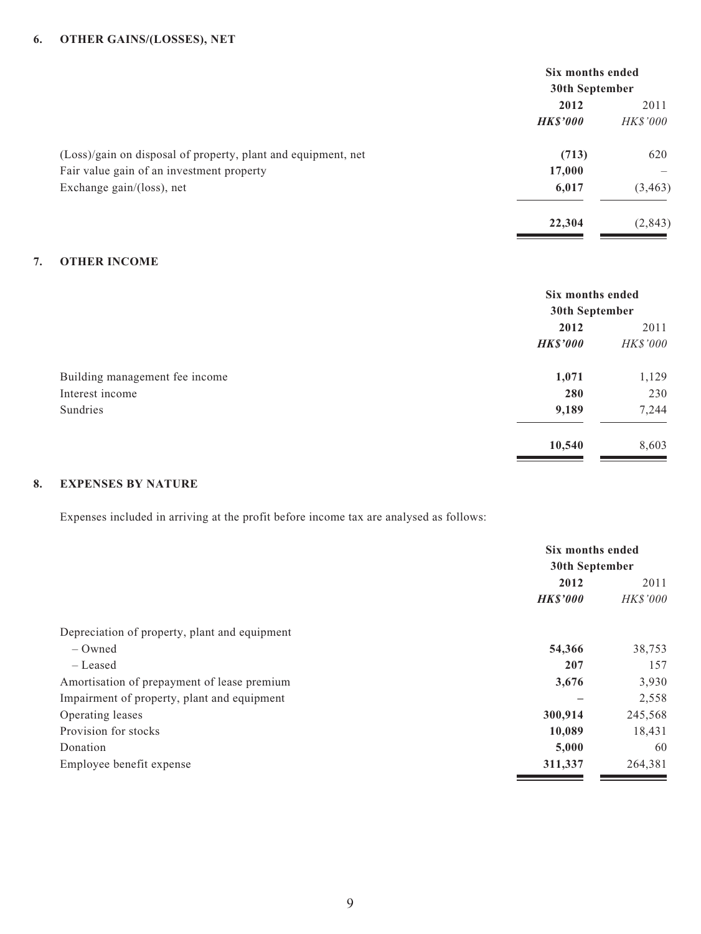#### **6. OTHER GAINS/(LOSSES), NET**

| Six months ended<br>30th September |                          |
|------------------------------------|--------------------------|
|                                    |                          |
| <b>HK\$'000</b>                    | <i>HK\$'000</i>          |
| (713)                              | 620                      |
| 17,000                             | $\overline{\phantom{m}}$ |
| 6,017                              | (3, 463)                 |
| 22,304                             | (2, 843)                 |
|                                    |                          |

#### **7. OTHER INCOME**

|                                | Six months ended<br>30th September |          |
|--------------------------------|------------------------------------|----------|
|                                | 2012                               | 2011     |
|                                | <b>HK\$'000</b>                    | HK\$'000 |
| Building management fee income | 1,071                              | 1,129    |
| Interest income                | 280                                | 230      |
| Sundries                       | 9,189                              | 7,244    |
|                                | 10,540                             | 8,603    |

#### **8. EXPENSES BY NATURE**

Expenses included in arriving at the profit before income tax are analysed as follows:

|                                               | Six months ended |                 |  |
|-----------------------------------------------|------------------|-----------------|--|
|                                               | 30th September   |                 |  |
|                                               | 2012             |                 |  |
|                                               | <b>HK\$'000</b>  | <b>HK\$'000</b> |  |
| Depreciation of property, plant and equipment |                  |                 |  |
| $-$ Owned                                     | 54,366           | 38,753          |  |
| – Leased                                      | 207              | 157             |  |
| Amortisation of prepayment of lease premium   | 3,676            | 3,930           |  |
| Impairment of property, plant and equipment   |                  | 2,558           |  |
| Operating leases                              | 300,914          | 245,568         |  |
| Provision for stocks                          | 10,089           | 18,431          |  |
| Donation                                      | 5,000            | 60              |  |
| Employee benefit expense                      | 311,337          | 264,381         |  |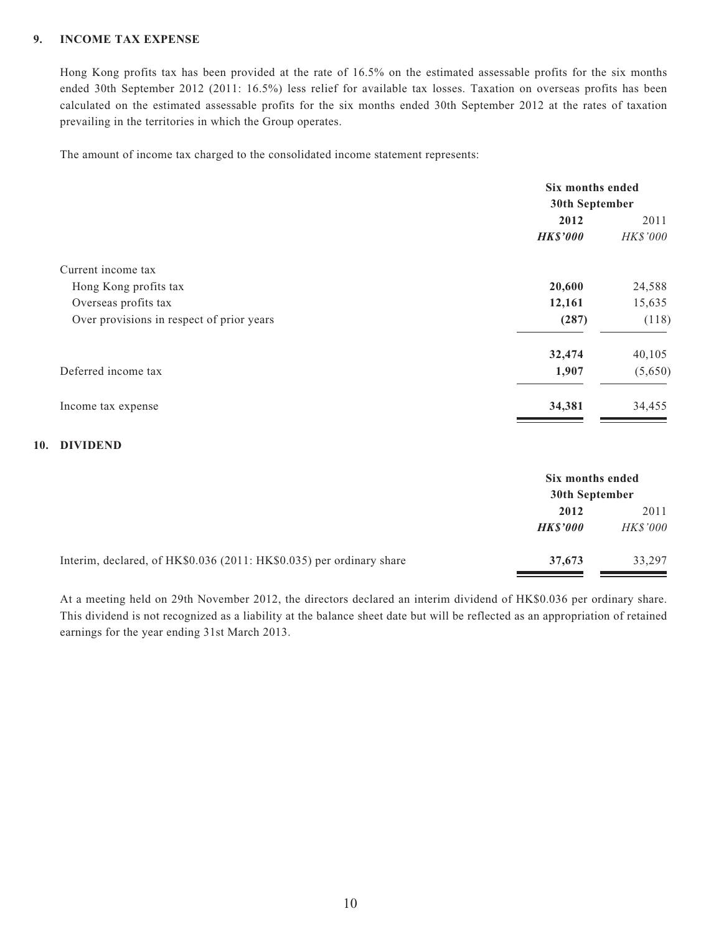#### **9. INCOME TAX EXPENSE**

Hong Kong profits tax has been provided at the rate of 16.5% on the estimated assessable profits for the six months ended 30th September 2012 (2011: 16.5%) less relief for available tax losses. Taxation on overseas profits has been calculated on the estimated assessable profits for the six months ended 30th September 2012 at the rates of taxation prevailing in the territories in which the Group operates.

The amount of income tax charged to the consolidated income statement represents:

|                                           | Six months ended<br>30th September |                         |
|-------------------------------------------|------------------------------------|-------------------------|
|                                           | 2012                               |                         |
|                                           | <b>HK\$'000</b>                    | 2011<br><b>HK\$'000</b> |
| Current income tax                        |                                    |                         |
| Hong Kong profits tax                     | 20,600                             | 24,588                  |
| Overseas profits tax                      | 12,161                             | 15,635                  |
| Over provisions in respect of prior years | (287)                              | (118)                   |
|                                           | 32,474                             | 40,105                  |
| Deferred income tax                       | 1,907                              | (5,650)                 |
| Income tax expense                        | 34,381                             | 34,455                  |

#### **10. DIVIDEND**

|                                                                      | Six months ended<br>30th September |                 |
|----------------------------------------------------------------------|------------------------------------|-----------------|
|                                                                      | 2012                               | 2011            |
|                                                                      | <b>HKS'000</b>                     | <b>HK\$'000</b> |
| Interim, declared, of HK\$0.036 (2011: HK\$0.035) per ordinary share | 37,673                             | 33,297          |

At a meeting held on 29th November 2012, the directors declared an interim dividend of HK\$0.036 per ordinary share. This dividend is not recognized as a liability at the balance sheet date but will be reflected as an appropriation of retained earnings for the year ending 31st March 2013.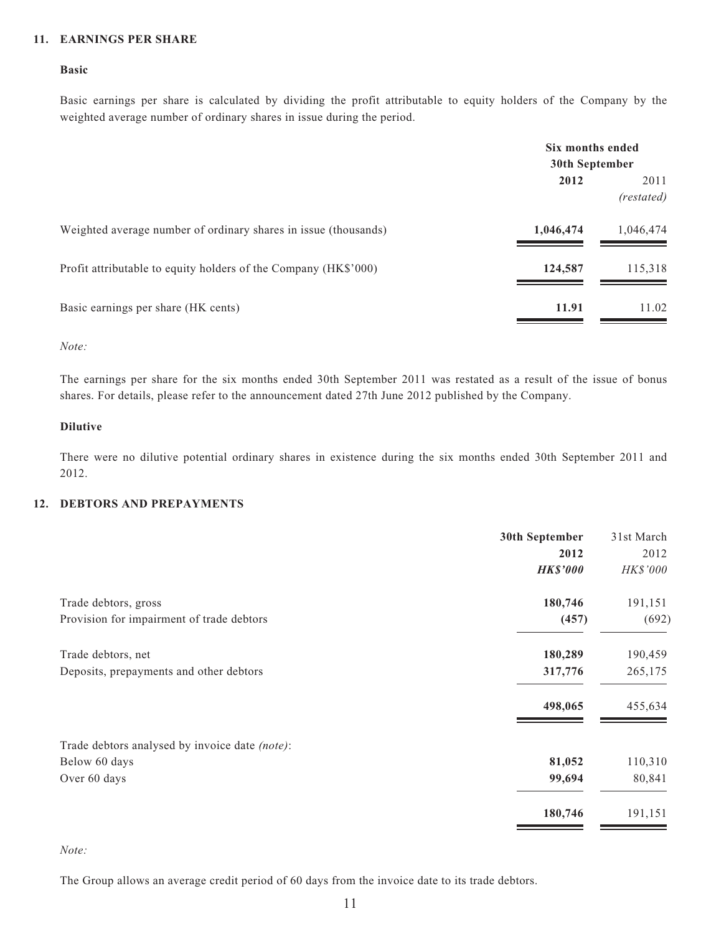#### **11. EARNINGS PER SHARE**

#### **Basic**

Basic earnings per share is calculated by dividing the profit attributable to equity holders of the Company by the weighted average number of ordinary shares in issue during the period.

|                                                                 | Six months ended<br>30th September |                    |
|-----------------------------------------------------------------|------------------------------------|--------------------|
|                                                                 | 2012                               | 2011<br>(restated) |
| Weighted average number of ordinary shares in issue (thousands) | 1,046,474                          | 1,046,474          |
| Profit attributable to equity holders of the Company (HK\$'000) | 124,587                            | 115,318            |
| Basic earnings per share (HK cents)                             | 11.91                              | 11.02              |

#### *Note:*

The earnings per share for the six months ended 30th September 2011 was restated as a result of the issue of bonus shares. For details, please refer to the announcement dated 27th June 2012 published by the Company.

#### **Dilutive**

There were no dilutive potential ordinary shares in existence during the six months ended 30th September 2011 and 2012.

#### **12. DEBTORS AND PREPAYMENTS**

|                                                | 30th September  | 31st March |
|------------------------------------------------|-----------------|------------|
|                                                | 2012            | 2012       |
|                                                | <b>HK\$'000</b> | HK\$'000   |
| Trade debtors, gross                           | 180,746         | 191,151    |
| Provision for impairment of trade debtors      | (457)           | (692)      |
| Trade debtors, net                             | 180,289         | 190,459    |
| Deposits, prepayments and other debtors        | 317,776         | 265,175    |
|                                                | 498,065         | 455,634    |
| Trade debtors analysed by invoice date (note): |                 |            |
| Below 60 days                                  | 81,052          | 110,310    |
| Over 60 days                                   | 99,694          | 80,841     |
|                                                | 180,746         | 191,151    |

#### *Note:*

The Group allows an average credit period of 60 days from the invoice date to its trade debtors.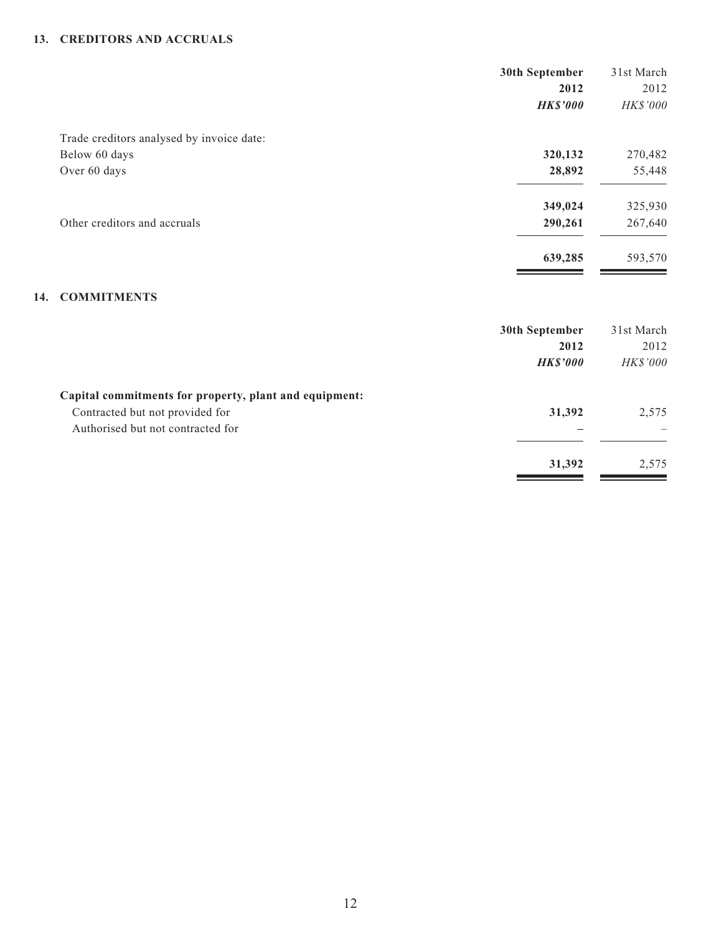#### **13. CREDITORS AND ACCRUALS**

|                                           | 30th September  | 31st March |
|-------------------------------------------|-----------------|------------|
|                                           | 2012            | 2012       |
|                                           | <b>HK\$'000</b> | HK\$'000   |
| Trade creditors analysed by invoice date: |                 |            |
| Below 60 days                             | 320,132         | 270,482    |
| Over 60 days                              | 28,892          | 55,448     |
|                                           | 349,024         | 325,930    |
| Other creditors and accruals              | 290,261         | 267,640    |
|                                           | 639,285         | 593,570    |
|                                           |                 |            |

#### **14. COMMITMENTS**

| 30th September  | 31st March      |
|-----------------|-----------------|
| 2012            | 2012            |
| <b>HK\$'000</b> | <b>HK\$'000</b> |
|                 |                 |
| 31,392          | 2,575           |
|                 |                 |
| 31,392          | 2,575           |
|                 |                 |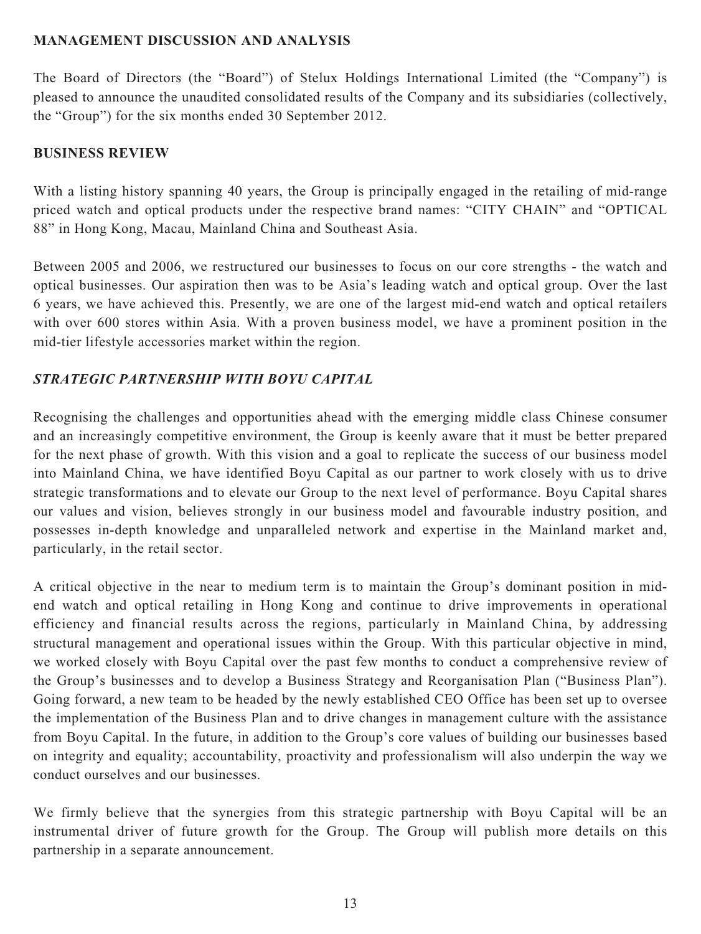## **MANAGEMENT DISCUSSION AND ANALYSIS**

The Board of Directors (the "Board") of Stelux Holdings International Limited (the "Company") is pleased to announce the unaudited consolidated results of the Company and its subsidiaries (collectively, the "Group") for the six months ended 30 September 2012.

## **BUSINESS REVIEW**

With a listing history spanning 40 years, the Group is principally engaged in the retailing of mid-range priced watch and optical products under the respective brand names: "CITY CHAIN" and "OPTICAL 88" in Hong Kong, Macau, Mainland China and Southeast Asia.

Between 2005 and 2006, we restructured our businesses to focus on our core strengths - the watch and optical businesses. Our aspiration then was to be Asia's leading watch and optical group. Over the last 6 years, we have achieved this. Presently, we are one of the largest mid-end watch and optical retailers with over 600 stores within Asia. With a proven business model, we have a prominent position in the mid-tier lifestyle accessories market within the region.

## *STRATEGIC PARTNERSHIP WITH BOYU CAPITAL*

Recognising the challenges and opportunities ahead with the emerging middle class Chinese consumer and an increasingly competitive environment, the Group is keenly aware that it must be better prepared for the next phase of growth. With this vision and a goal to replicate the success of our business model into Mainland China, we have identified Boyu Capital as our partner to work closely with us to drive strategic transformations and to elevate our Group to the next level of performance. Boyu Capital shares our values and vision, believes strongly in our business model and favourable industry position, and possesses in-depth knowledge and unparalleled network and expertise in the Mainland market and, particularly, in the retail sector.

A critical objective in the near to medium term is to maintain the Group's dominant position in midend watch and optical retailing in Hong Kong and continue to drive improvements in operational efficiency and financial results across the regions, particularly in Mainland China, by addressing structural management and operational issues within the Group. With this particular objective in mind, we worked closely with Boyu Capital over the past few months to conduct a comprehensive review of the Group's businesses and to develop a Business Strategy and Reorganisation Plan ("Business Plan"). Going forward, a new team to be headed by the newly established CEO Office has been set up to oversee the implementation of the Business Plan and to drive changes in management culture with the assistance from Boyu Capital. In the future, in addition to the Group's core values of building our businesses based on integrity and equality; accountability, proactivity and professionalism will also underpin the way we conduct ourselves and our businesses.

We firmly believe that the synergies from this strategic partnership with Boyu Capital will be an instrumental driver of future growth for the Group. The Group will publish more details on this partnership in a separate announcement.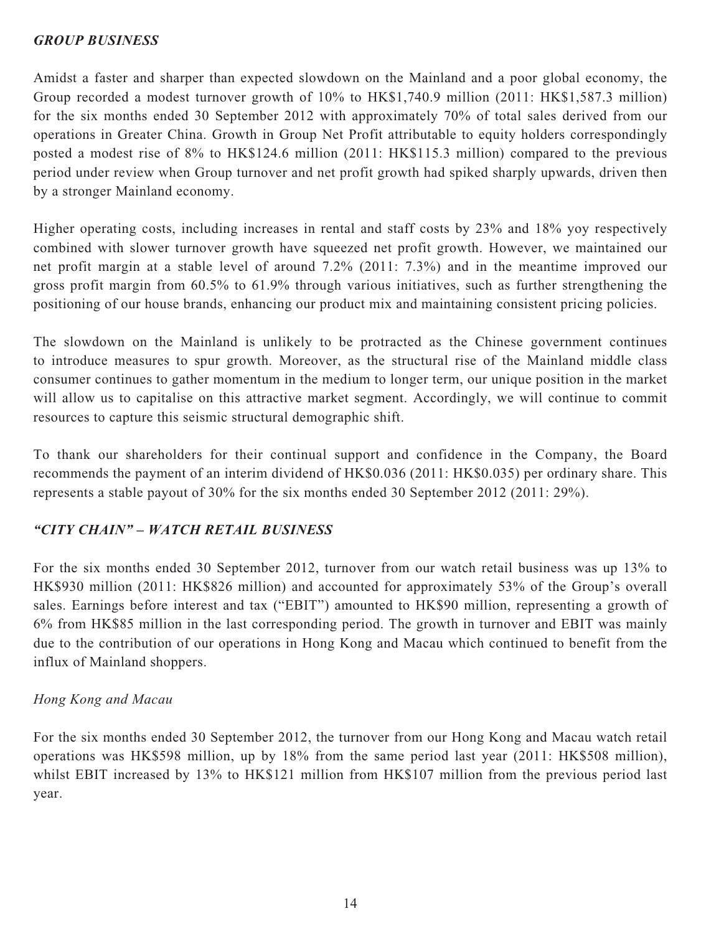#### *GROUP BUSINESS*

Amidst a faster and sharper than expected slowdown on the Mainland and a poor global economy, the Group recorded a modest turnover growth of 10% to HK\$1,740.9 million (2011: HK\$1,587.3 million) for the six months ended 30 September 2012 with approximately 70% of total sales derived from our operations in Greater China. Growth in Group Net Profit attributable to equity holders correspondingly posted a modest rise of 8% to HK\$124.6 million (2011: HK\$115.3 million) compared to the previous period under review when Group turnover and net profit growth had spiked sharply upwards, driven then by a stronger Mainland economy.

Higher operating costs, including increases in rental and staff costs by 23% and 18% yoy respectively combined with slower turnover growth have squeezed net profit growth. However, we maintained our net profit margin at a stable level of around 7.2% (2011: 7.3%) and in the meantime improved our gross profit margin from 60.5% to 61.9% through various initiatives, such as further strengthening the positioning of our house brands, enhancing our product mix and maintaining consistent pricing policies.

The slowdown on the Mainland is unlikely to be protracted as the Chinese government continues to introduce measures to spur growth. Moreover, as the structural rise of the Mainland middle class consumer continues to gather momentum in the medium to longer term, our unique position in the market will allow us to capitalise on this attractive market segment. Accordingly, we will continue to commit resources to capture this seismic structural demographic shift.

To thank our shareholders for their continual support and confidence in the Company, the Board recommends the payment of an interim dividend of HK\$0.036 (2011: HK\$0.035) per ordinary share. This represents a stable payout of 30% for the six months ended 30 September 2012 (2011: 29%).

## *"CITY CHAIN" – WATCH RETAIL BUSINESS*

For the six months ended 30 September 2012, turnover from our watch retail business was up 13% to HK\$930 million (2011: HK\$826 million) and accounted for approximately 53% of the Group's overall sales. Earnings before interest and tax ("EBIT") amounted to HK\$90 million, representing a growth of 6% from HK\$85 million in the last corresponding period. The growth in turnover and EBIT was mainly due to the contribution of our operations in Hong Kong and Macau which continued to benefit from the influx of Mainland shoppers.

## *Hong Kong and Macau*

For the six months ended 30 September 2012, the turnover from our Hong Kong and Macau watch retail operations was HK\$598 million, up by 18% from the same period last year (2011: HK\$508 million), whilst EBIT increased by 13% to HK\$121 million from HK\$107 million from the previous period last year.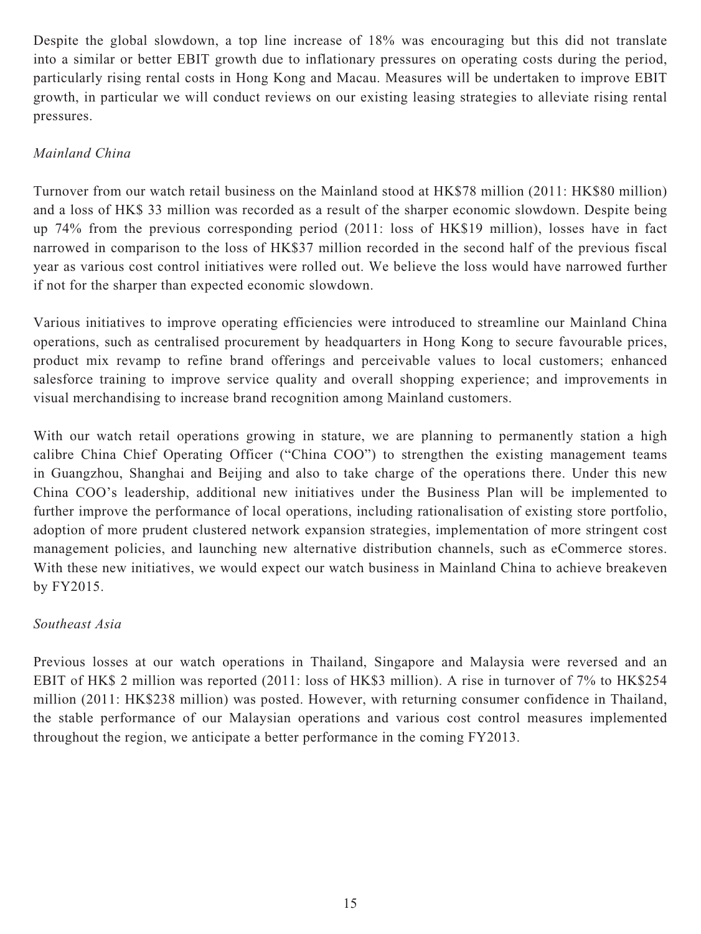Despite the global slowdown, a top line increase of 18% was encouraging but this did not translate into a similar or better EBIT growth due to inflationary pressures on operating costs during the period, particularly rising rental costs in Hong Kong and Macau. Measures will be undertaken to improve EBIT growth, in particular we will conduct reviews on our existing leasing strategies to alleviate rising rental pressures.

## *Mainland China*

Turnover from our watch retail business on the Mainland stood at HK\$78 million (2011: HK\$80 million) and a loss of HK\$ 33 million was recorded as a result of the sharper economic slowdown. Despite being up 74% from the previous corresponding period (2011: loss of HK\$19 million), losses have in fact narrowed in comparison to the loss of HK\$37 million recorded in the second half of the previous fiscal year as various cost control initiatives were rolled out. We believe the loss would have narrowed further if not for the sharper than expected economic slowdown.

Various initiatives to improve operating efficiencies were introduced to streamline our Mainland China operations, such as centralised procurement by headquarters in Hong Kong to secure favourable prices, product mix revamp to refine brand offerings and perceivable values to local customers; enhanced salesforce training to improve service quality and overall shopping experience; and improvements in visual merchandising to increase brand recognition among Mainland customers.

With our watch retail operations growing in stature, we are planning to permanently station a high calibre China Chief Operating Officer ("China COO") to strengthen the existing management teams in Guangzhou, Shanghai and Beijing and also to take charge of the operations there. Under this new China COO's leadership, additional new initiatives under the Business Plan will be implemented to further improve the performance of local operations, including rationalisation of existing store portfolio, adoption of more prudent clustered network expansion strategies, implementation of more stringent cost management policies, and launching new alternative distribution channels, such as eCommerce stores. With these new initiatives, we would expect our watch business in Mainland China to achieve breakeven by FY2015.

## *Southeast Asia*

Previous losses at our watch operations in Thailand, Singapore and Malaysia were reversed and an EBIT of HK\$ 2 million was reported (2011: loss of HK\$3 million). A rise in turnover of 7% to HK\$254 million (2011: HK\$238 million) was posted. However, with returning consumer confidence in Thailand, the stable performance of our Malaysian operations and various cost control measures implemented throughout the region, we anticipate a better performance in the coming FY2013.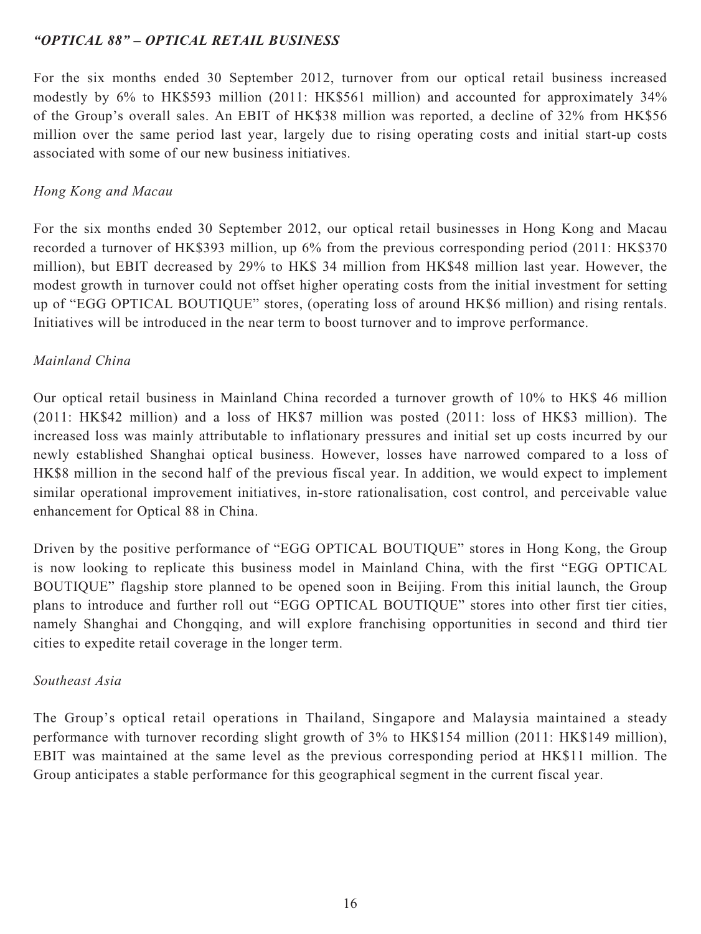## *"OPTICAL 88" – OPTICAL RETAIL BUSINESS*

For the six months ended 30 September 2012, turnover from our optical retail business increased modestly by 6% to HK\$593 million (2011: HK\$561 million) and accounted for approximately 34% of the Group's overall sales. An EBIT of HK\$38 million was reported, a decline of 32% from HK\$56 million over the same period last year, largely due to rising operating costs and initial start-up costs associated with some of our new business initiatives.

## *Hong Kong and Macau*

For the six months ended 30 September 2012, our optical retail businesses in Hong Kong and Macau recorded a turnover of HK\$393 million, up 6% from the previous corresponding period (2011: HK\$370 million), but EBIT decreased by 29% to HK\$ 34 million from HK\$48 million last year. However, the modest growth in turnover could not offset higher operating costs from the initial investment for setting up of "EGG OPTICAL BOUTIQUE" stores, (operating loss of around HK\$6 million) and rising rentals. Initiatives will be introduced in the near term to boost turnover and to improve performance.

## *Mainland China*

Our optical retail business in Mainland China recorded a turnover growth of 10% to HK\$ 46 million (2011: HK\$42 million) and a loss of HK\$7 million was posted (2011: loss of HK\$3 million). The increased loss was mainly attributable to inflationary pressures and initial set up costs incurred by our newly established Shanghai optical business. However, losses have narrowed compared to a loss of HK\$8 million in the second half of the previous fiscal year. In addition, we would expect to implement similar operational improvement initiatives, in-store rationalisation, cost control, and perceivable value enhancement for Optical 88 in China.

Driven by the positive performance of "EGG OPTICAL BOUTIQUE" stores in Hong Kong, the Group is now looking to replicate this business model in Mainland China, with the first "EGG OPTICAL BOUTIQUE" flagship store planned to be opened soon in Beijing. From this initial launch, the Group plans to introduce and further roll out "EGG OPTICAL BOUTIQUE" stores into other first tier cities, namely Shanghai and Chongqing, and will explore franchising opportunities in second and third tier cities to expedite retail coverage in the longer term.

## *Southeast Asia*

The Group's optical retail operations in Thailand, Singapore and Malaysia maintained a steady performance with turnover recording slight growth of 3% to HK\$154 million (2011: HK\$149 million), EBIT was maintained at the same level as the previous corresponding period at HK\$11 million. The Group anticipates a stable performance for this geographical segment in the current fiscal year.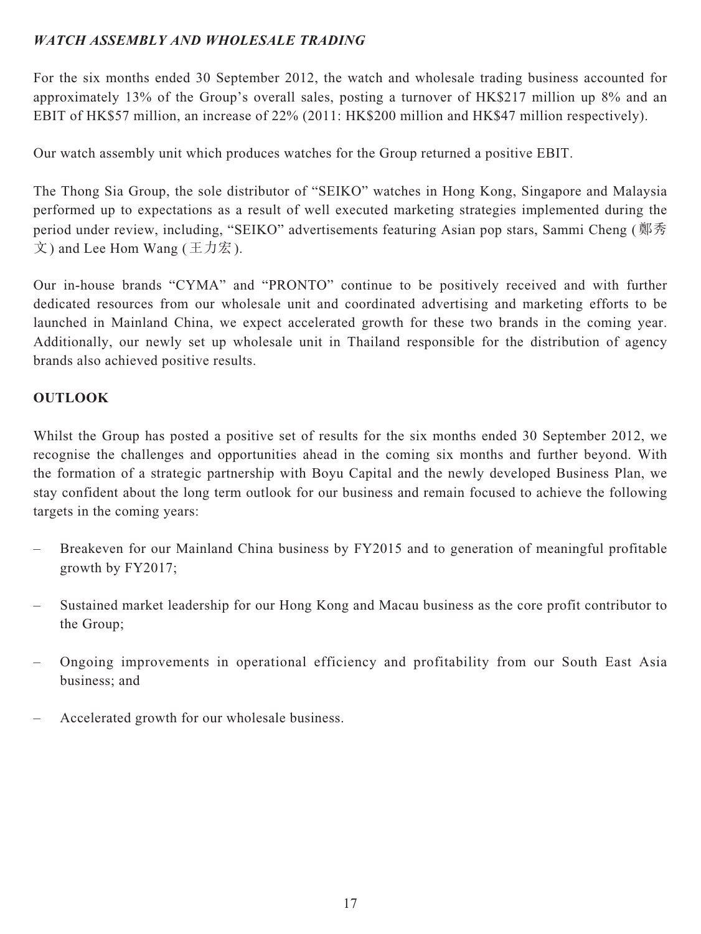# *WATCH ASSEMBLY AND WHOLESALE TRADING*

For the six months ended 30 September 2012, the watch and wholesale trading business accounted for approximately 13% of the Group's overall sales, posting a turnover of HK\$217 million up 8% and an EBIT of HK\$57 million, an increase of 22% (2011: HK\$200 million and HK\$47 million respectively).

Our watch assembly unit which produces watches for the Group returned a positive EBIT.

The Thong Sia Group, the sole distributor of "SEIKO" watches in Hong Kong, Singapore and Malaysia performed up to expectations as a result of well executed marketing strategies implemented during the period under review, including, "SEIKO" advertisements featuring Asian pop stars, Sammi Cheng (鄭秀 文) and Lee Hom Wang (王力宏).

Our in-house brands "CYMA" and "PRONTO" continue to be positively received and with further dedicated resources from our wholesale unit and coordinated advertising and marketing efforts to be launched in Mainland China, we expect accelerated growth for these two brands in the coming year. Additionally, our newly set up wholesale unit in Thailand responsible for the distribution of agency brands also achieved positive results.

# **OUTLOOK**

Whilst the Group has posted a positive set of results for the six months ended 30 September 2012, we recognise the challenges and opportunities ahead in the coming six months and further beyond. With the formation of a strategic partnership with Boyu Capital and the newly developed Business Plan, we stay confident about the long term outlook for our business and remain focused to achieve the following targets in the coming years:

- Breakeven for our Mainland China business by FY2015 and to generation of meaningful profitable growth by FY2017;
- Sustained market leadership for our Hong Kong and Macau business as the core profit contributor to the Group;
- Ongoing improvements in operational efficiency and profitability from our South East Asia business; and
- Accelerated growth for our wholesale business.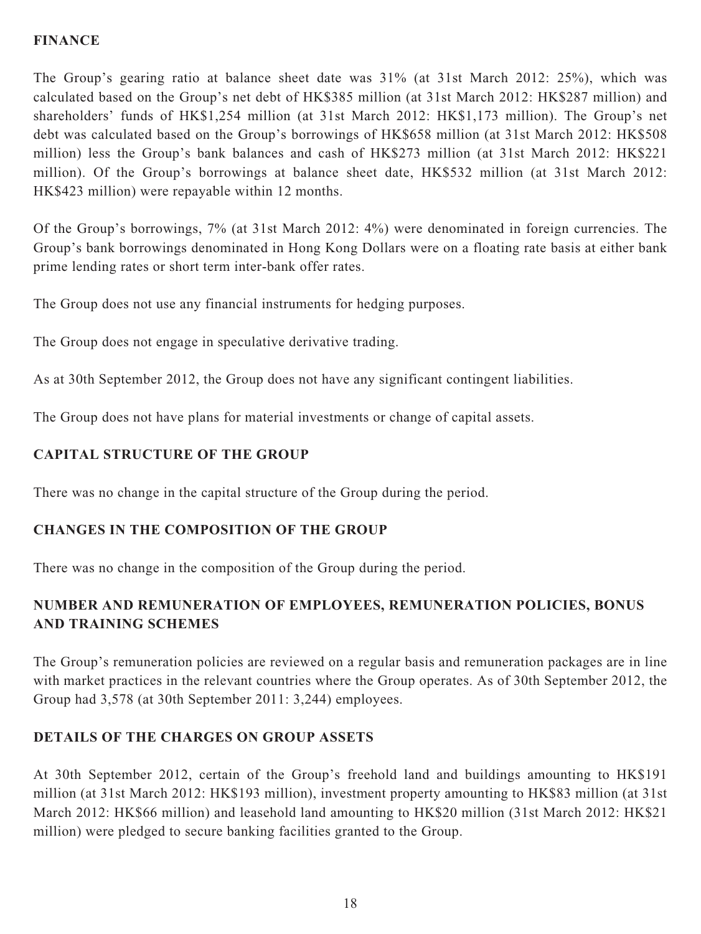## **FINANCE**

The Group's gearing ratio at balance sheet date was 31% (at 31st March 2012: 25%), which was calculated based on the Group's net debt of HK\$385 million (at 31st March 2012: HK\$287 million) and shareholders' funds of HK\$1,254 million (at 31st March 2012: HK\$1,173 million). The Group's net debt was calculated based on the Group's borrowings of HK\$658 million (at 31st March 2012: HK\$508 million) less the Group's bank balances and cash of HK\$273 million (at 31st March 2012: HK\$221 million). Of the Group's borrowings at balance sheet date, HK\$532 million (at 31st March 2012: HK\$423 million) were repayable within 12 months.

Of the Group's borrowings, 7% (at 31st March 2012: 4%) were denominated in foreign currencies. The Group's bank borrowings denominated in Hong Kong Dollars were on a floating rate basis at either bank prime lending rates or short term inter-bank offer rates.

The Group does not use any financial instruments for hedging purposes.

The Group does not engage in speculative derivative trading.

As at 30th September 2012, the Group does not have any significant contingent liabilities.

The Group does not have plans for material investments or change of capital assets.

# **CAPITAL STRUCTURE OF THE GROUP**

There was no change in the capital structure of the Group during the period.

# **CHANGES IN THE COMPOSITION OF THE GROUP**

There was no change in the composition of the Group during the period.

# **NUMBER AND REMUNERATION OF EMPLOYEES, REMUNERATION POLICIES, BONUS AND TRAINING SCHEMES**

The Group's remuneration policies are reviewed on a regular basis and remuneration packages are in line with market practices in the relevant countries where the Group operates. As of 30th September 2012, the Group had 3,578 (at 30th September 2011: 3,244) employees.

# **DETAILS OF THE CHARGES ON GROUP ASSETS**

At 30th September 2012, certain of the Group's freehold land and buildings amounting to HK\$191 million (at 31st March 2012: HK\$193 million), investment property amounting to HK\$83 million (at 31st March 2012: HK\$66 million) and leasehold land amounting to HK\$20 million (31st March 2012: HK\$21 million) were pledged to secure banking facilities granted to the Group.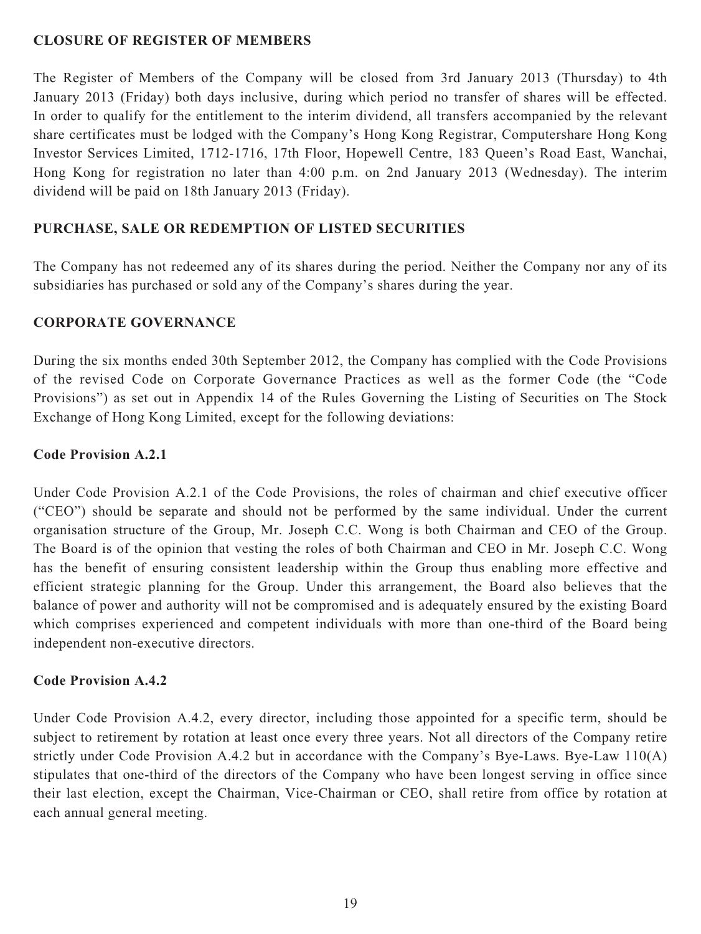## **CLOSURE OF REGISTER OF MEMBERS**

The Register of Members of the Company will be closed from 3rd January 2013 (Thursday) to 4th January 2013 (Friday) both days inclusive, during which period no transfer of shares will be effected. In order to qualify for the entitlement to the interim dividend, all transfers accompanied by the relevant share certificates must be lodged with the Company's Hong Kong Registrar, Computershare Hong Kong Investor Services Limited, 1712-1716, 17th Floor, Hopewell Centre, 183 Queen's Road East, Wanchai, Hong Kong for registration no later than 4:00 p.m. on 2nd January 2013 (Wednesday). The interim dividend will be paid on 18th January 2013 (Friday).

## **PURCHASE, SALE OR REDEMPTION OF LISTED SECURITIES**

The Company has not redeemed any of its shares during the period. Neither the Company nor any of its subsidiaries has purchased or sold any of the Company's shares during the year.

## **CORPORATE GOVERNANCE**

During the six months ended 30th September 2012, the Company has complied with the Code Provisions of the revised Code on Corporate Governance Practices as well as the former Code (the "Code Provisions") as set out in Appendix 14 of the Rules Governing the Listing of Securities on The Stock Exchange of Hong Kong Limited, except for the following deviations:

#### **Code Provision A.2.1**

Under Code Provision A.2.1 of the Code Provisions, the roles of chairman and chief executive officer ("CEO") should be separate and should not be performed by the same individual. Under the current organisation structure of the Group, Mr. Joseph C.C. Wong is both Chairman and CEO of the Group. The Board is of the opinion that vesting the roles of both Chairman and CEO in Mr. Joseph C.C. Wong has the benefit of ensuring consistent leadership within the Group thus enabling more effective and efficient strategic planning for the Group. Under this arrangement, the Board also believes that the balance of power and authority will not be compromised and is adequately ensured by the existing Board which comprises experienced and competent individuals with more than one-third of the Board being independent non-executive directors.

## **Code Provision A.4.2**

Under Code Provision A.4.2, every director, including those appointed for a specific term, should be subject to retirement by rotation at least once every three years. Not all directors of the Company retire strictly under Code Provision A.4.2 but in accordance with the Company's Bye-Laws. Bye-Law 110(A) stipulates that one-third of the directors of the Company who have been longest serving in office since their last election, except the Chairman, Vice-Chairman or CEO, shall retire from office by rotation at each annual general meeting.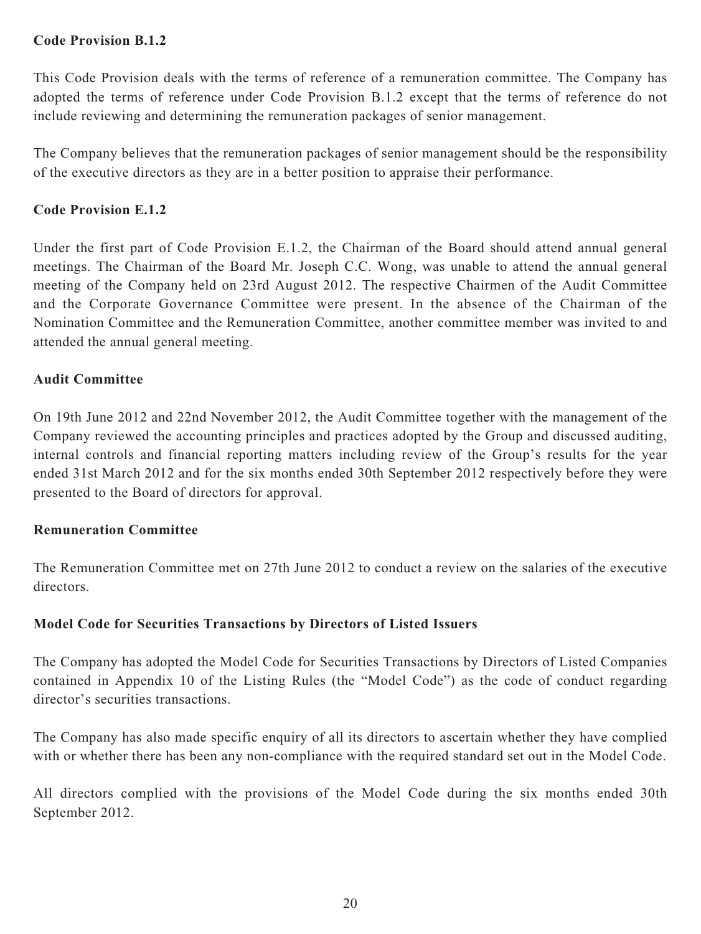## **Code Provision B.1.2**

This Code Provision deals with the terms of reference of a remuneration committee. The Company has adopted the terms of reference under Code Provision B.1.2 except that the terms of reference do not include reviewing and determining the remuneration packages of senior management.

The Company believes that the remuneration packages of senior management should be the responsibility of the executive directors as they are in a better position to appraise their performance.

#### **Code Provision E.1.2**

Under the first part of Code Provision E.1.2, the Chairman of the Board should attend annual general meetings. The Chairman of the Board Mr. Joseph C.C. Wong, was unable to attend the annual general meeting of the Company held on 23rd August 2012. The respective Chairmen of the Audit Committee and the Corporate Governance Committee were present. In the absence of the Chairman of the Nomination Committee and the Remuneration Committee, another committee member was invited to and attended the annual general meeting.

#### **Audit Committee**

On 19th June 2012 and 22nd November 2012, the Audit Committee together with the management of the Company reviewed the accounting principles and practices adopted by the Group and discussed auditing, internal controls and financial reporting matters including review of the Group's results for the year ended 31st March 2012 and for the six months ended 30th September 2012 respectively before they were presented to the Board of directors for approval.

#### **Remuneration Committee**

The Remuneration Committee met on 27th June 2012 to conduct a review on the salaries of the executive directors.

#### **Model Code for Securities Transactions by Directors of Listed Issuers**

The Company has adopted the Model Code for Securities Transactions by Directors of Listed Companies contained in Appendix 10 of the Listing Rules (the "Model Code") as the code of conduct regarding director's securities transactions.

The Company has also made specific enquiry of all its directors to ascertain whether they have complied with or whether there has been any non-compliance with the required standard set out in the Model Code.

All directors complied with the provisions of the Model Code during the six months ended 30th September 2012.